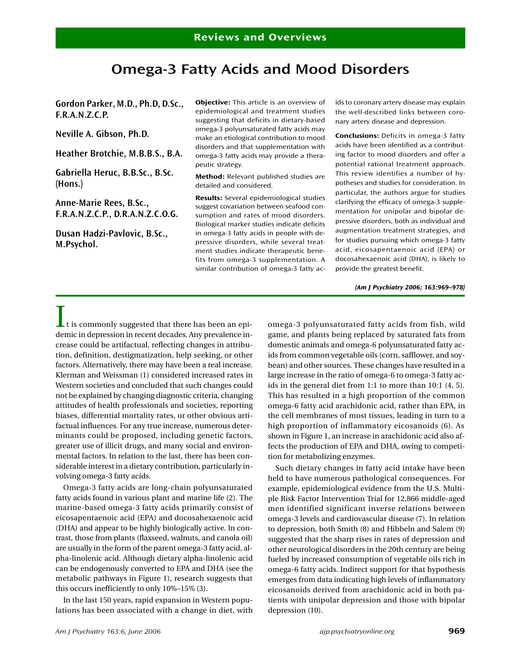# **Omega-3 Fatty Acids and Mood Disorders**

**Gordon Parker, M.D., Ph.D, D.Sc., F.R.A.N.Z.C.P.**

**Neville A. Gibson, Ph.D.**

**Heather Brotchie, M.B.B.S., B.A.**

**Gabriella Heruc, B.B.Sc., B.Sc. (Hons.)**

**Anne-Marie Rees, B.Sc., F.R.A.N.Z.C.P., D.R.A.N.Z.C.O.G.**

**Dusan Hadzi-Pavlovic, B.Sc., M.Psychol.**

**Objective:** This article is an overview of epidemiological and treatment studies suggesting that deficits in dietary-based omega-3 polyunsaturated fatty acids may make an etiological contribution to mood disorders and that supplementation with omega-3 fatty acids may provide a therapeutic strategy.

**Method:** Relevant published studies are detailed and considered.

**Results:** Several epidemiological studies suggest covariation between seafood consumption and rates of mood disorders. Biological marker studies indicate deficits in omega-3 fatty acids in people with depressive disorders, while several treatment studies indicate therapeutic benefits from omega-3 supplementation. A similar contribution of omega-3 fatty acids to coronary artery disease may explain the well-described links between coronary artery disease and depression.

**Conclusions:** Deficits in omega-3 fatty acids have been identified as a contributing factor to mood disorders and offer a potential rational treatment approach. This review identifies a number of hypotheses and studies for consideration. In particular, the authors argue for studies clarifying the efficacy of omega-3 supplementation for unipolar and bipolar depressive disorders, both as individual and augmentation treatment strategies, and for studies pursuing which omega-3 fatty acid, eicosapentaenoic acid (EPA) or docosahexaenoic acid (DHA), is likely to provide the greatest benefit.

*(Am J Psychiatry 2006; 163:969–978)*

 $\blacktriangle$ t is commonly suggested that there has been an epidemic in depression in recent decades. Any prevalence increase could be artifactual, reflecting changes in attribution, definition, destigmatization, help seeking, or other factors. Alternatively, there may have been a real increase. Klerman and Weissman (1) considered increased rates in Western societies and concluded that such changes could not be explained by changing diagnostic criteria, changing attitudes of health professionals and societies, reporting biases, differential mortality rates, or other obvious artifactual influences. For any true increase, numerous determinants could be proposed, including genetic factors, greater use of illicit drugs, and many social and environmental factors. In relation to the last, there has been considerable interest in a dietary contribution, particularly involving omega-3 fatty acids.

Omega-3 fatty acids are long-chain polyunsaturated fatty acids found in various plant and marine life (2). The marine-based omega-3 fatty acids primarily consist of eicosapentaenoic acid (EPA) and docosahexaenoic acid (DHA) and appear to be highly biologically active. In contrast, those from plants (flaxseed, walnuts, and canola oil) are usually in the form of the parent omega-3 fatty acid, alpha-linolenic acid. Although dietary alpha-linolenic acid can be endogenously converted to EPA and DHA (see the metabolic pathways in Figure 1), research suggests that this occurs inefficiently to only 10%–15% (3).

In the last 150 years, rapid expansion in Western populations has been associated with a change in diet, with omega-3 polyunsaturated fatty acids from fish, wild game, and plants being replaced by saturated fats from domestic animals and omega-6 polyunsaturated fatty acids from common vegetable oils (corn, safflower, and soybean) and other sources. These changes have resulted in a large increase in the ratio of omega-6 to omega-3 fatty acids in the general diet from 1:1 to more than 10:1 (4, 5). This has resulted in a high proportion of the common omega-6 fatty acid arachidonic acid, rather than EPA, in the cell membranes of most tissues, leading in turn to a high proportion of inflammatory eicosanoids (6). As shown in Figure 1, an increase in arachidonic acid also affects the production of EPA and DHA, owing to competition for metabolizing enzymes.

Such dietary changes in fatty acid intake have been held to have numerous pathological consequences. For example, epidemiological evidence from the U.S. Multiple Risk Factor Intervention Trial for 12,866 middle-aged men identified significant inverse relations between omega-3 levels and cardiovascular disease (7). In relation to depression, both Smith (8) and Hibbeln and Salem (9) suggested that the sharp rises in rates of depression and other neurological disorders in the 20th century are being fueled by increased consumption of vegetable oils rich in omega-6 fatty acids. Indirect support for that hypothesis emerges from data indicating high levels of inflammatory eicosanoids derived from arachidonic acid in both patients with unipolar depression and those with bipolar depression (10).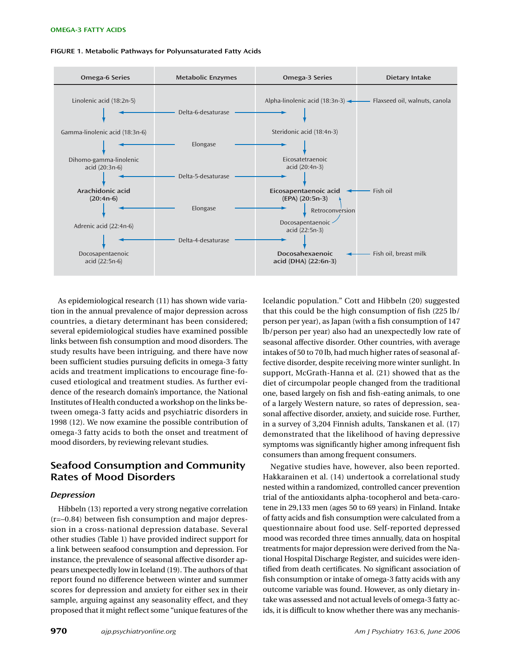#### **FIGURE 1. Metabolic Pathways for Polyunsaturated Fatty Acids**



As epidemiological research (11) has shown wide variation in the annual prevalence of major depression across countries, a dietary determinant has been considered; several epidemiological studies have examined possible links between fish consumption and mood disorders. The study results have been intriguing, and there have now been sufficient studies pursuing deficits in omega-3 fatty acids and treatment implications to encourage fine-focused etiological and treatment studies. As further evidence of the research domain's importance, the National Institutes of Health conducted a workshop on the links between omega-3 fatty acids and psychiatric disorders in 1998 (12). We now examine the possible contribution of omega-3 fatty acids to both the onset and treatment of mood disorders, by reviewing relevant studies.

# **Seafood Consumption and Community Rates of Mood Disorders**

#### *Depression*

Hibbeln (13) reported a very strong negative correlation (r=–0.84) between fish consumption and major depression in a cross-national depression database. Several other studies (Table 1) have provided indirect support for a link between seafood consumption and depression. For instance, the prevalence of seasonal affective disorder appears unexpectedly low in Iceland (19). The authors of that report found no difference between winter and summer scores for depression and anxiety for either sex in their sample, arguing against any seasonality effect, and they proposed that it might reflect some "unique features of the

Icelandic population." Cott and Hibbeln (20) suggested that this could be the high consumption of fish (225 lb/ person per year), as Japan (with a fish consumption of 147 lb/person per year) also had an unexpectedly low rate of seasonal affective disorder. Other countries, with average intakes of 50 to 70 lb, had much higher rates of seasonal affective disorder, despite receiving more winter sunlight. In support, McGrath-Hanna et al. (21) showed that as the diet of circumpolar people changed from the traditional one, based largely on fish and fish-eating animals, to one of a largely Western nature, so rates of depression, seasonal affective disorder, anxiety, and suicide rose. Further, in a survey of 3,204 Finnish adults, Tanskanen et al. (17) demonstrated that the likelihood of having depressive symptoms was significantly higher among infrequent fish consumers than among frequent consumers.

Negative studies have, however, also been reported. Hakkarainen et al. (14) undertook a correlational study nested within a randomized, controlled cancer prevention trial of the antioxidants alpha-tocopherol and beta-carotene in 29,133 men (ages 50 to 69 years) in Finland. Intake of fatty acids and fish consumption were calculated from a questionnaire about food use. Self-reported depressed mood was recorded three times annually, data on hospital treatments for major depression were derived from the National Hospital Discharge Register, and suicides were identified from death certificates. No significant association of fish consumption or intake of omega-3 fatty acids with any outcome variable was found. However, as only dietary intake was assessed and not actual levels of omega-3 fatty acids, it is difficult to know whether there was any mechanis-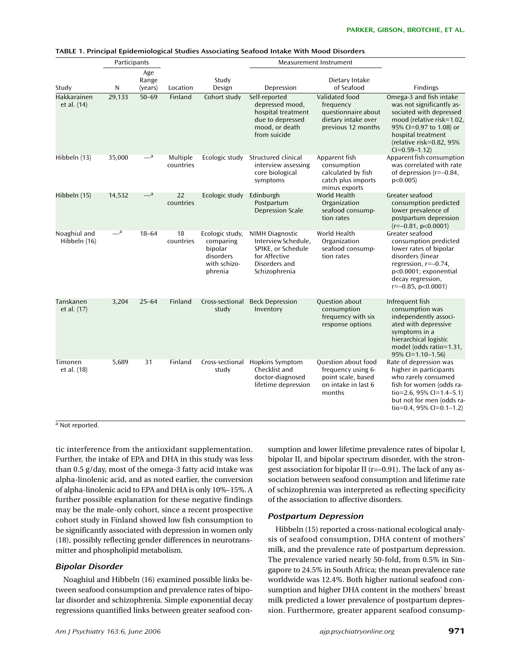|                                   | Participants |                            |                       |                                                                                 | Measurement Instrument                                                                                                 |                                                                                                         |                                                                                                                                                                                                                 |
|-----------------------------------|--------------|----------------------------|-----------------------|---------------------------------------------------------------------------------|------------------------------------------------------------------------------------------------------------------------|---------------------------------------------------------------------------------------------------------|-----------------------------------------------------------------------------------------------------------------------------------------------------------------------------------------------------------------|
| Study                             | N            | Age<br>Range<br>(years)    | Location              | Study<br>Design                                                                 | Depression                                                                                                             | Dietary Intake<br>of Seafood                                                                            | <b>Findings</b>                                                                                                                                                                                                 |
| <b>Hakkarainen</b><br>et al. (14) | 29,133       | $50 - 69$                  | Finland               | Cohort study                                                                    | Self-reported<br>depressed mood,<br>hospital treatment<br>due to depressed<br>mood, or death<br>from suicide           | Validated food<br>frequency<br>questionnaire about<br>dietary intake over<br>previous 12 months         | Omega-3 and fish intake<br>was not significantly as-<br>sociated with depressed<br>mood (relative risk=1.02,<br>95% CI=0.97 to 1.08) or<br>hospital treatment<br>(relative risk=0.82, 95%<br>$CI = 0.59 - 1.12$ |
| Hibbeln (13)                      | 35,000       | $-$ <sup>a</sup>           | Multiple<br>countries | Ecologic study                                                                  | Structured clinical<br>interview assessing<br>core biological<br>symptoms                                              | Apparent fish<br>consumption<br>calculated by fish<br>catch plus imports<br>minus exports               | Apparent fish consumption<br>was correlated with rate<br>of depression $(r=-0.84)$ .<br>p<0.005                                                                                                                 |
| Hibbeln (15)                      | 14,532       | $\overline{\phantom{a}}$ a | 22<br>countries       | Ecologic study                                                                  | Edinburgh<br>Postpartum<br><b>Depression Scale</b>                                                                     | World Health<br>Organization<br>seafood consump-<br>tion rates                                          | Greater seafood<br>consumption predicted<br>lower prevalence of<br>postpartum depression<br>$(r=-0.81, p<0.0001)$                                                                                               |
| Noaghiul and<br>Hibbeln (16)      | $-$ a        | $18 - 64$                  | 18<br>countries       | Ecologic study,<br>comparing<br>bipolar<br>disorders<br>with schizo-<br>phrenia | <b>NIMH Diagnostic</b><br>Interview Schedule,<br>SPIKE, or Schedule<br>for Affective<br>Disorders and<br>Schizophrenia | World Health<br>Organization<br>seafood consump-<br>tion rates                                          | Greater seafood<br>consumption predicted<br>lower rates of bipolar<br>disorders (linear<br>regression, $r=-0.74$ ,<br>p<0.0001; exponential<br>decay regression,<br>$r=-0.85$ , $p<0.0001$ )                    |
| Tanskanen<br>et al. (17)          | 3,204        | $25 - 64$                  | Finland               | Cross-sectional<br>study                                                        | <b>Beck Depression</b><br>Inventory                                                                                    | Question about<br>consumption<br>frequency with six<br>response options                                 | Infrequent fish<br>consumption was<br>independently associ-<br>ated with depressive<br>symptoms in a<br>hierarchical logistic<br>model (odds ratio=1.31,<br>95% CI=1.10-1.56)                                   |
| Timonen<br>et al. (18)            | 5,689        | 31                         | Finland               | Cross-sectional<br>study                                                        | <b>Hopkins Symptom</b><br>Checklist and<br>doctor-diagnosed<br>lifetime depression                                     | <b>Ouestion about food</b><br>frequency using 6-<br>point scale, based<br>on intake in last 6<br>months | Rate of depression was<br>higher in participants<br>who rarely consumed<br>fish for women (odds ra-<br>tio=2.6, 95% CI=1.4-5.1)<br>but not for men (odds ra-<br>tio=0.4, 95% CI=0.1-1.2)                        |

#### **TABLE 1. Principal Epidemiological Studies Associating Seafood Intake With Mood Disorders**

a Not reported.

tic interference from the antioxidant supplementation. Further, the intake of EPA and DHA in this study was less than 0.5 g/day, most of the omega-3 fatty acid intake was alpha-linolenic acid, and as noted earlier, the conversion of alpha-linolenic acid to EPA and DHA is only 10%–15%. A further possible explanation for these negative findings may be the male-only cohort, since a recent prospective cohort study in Finland showed low fish consumption to be significantly associated with depression in women only (18), possibly reflecting gender differences in neurotransmitter and phospholipid metabolism.

### *Bipolar Disorder*

Noaghiul and Hibbeln (16) examined possible links between seafood consumption and prevalence rates of bipolar disorder and schizophrenia. Simple exponential decay regressions quantified links between greater seafood con-

sumption and lower lifetime prevalence rates of bipolar I, bipolar II, and bipolar spectrum disorder, with the strongest association for bipolar II (r=–0.91). The lack of any association between seafood consumption and lifetime rate of schizophrenia was interpreted as reflecting specificity of the association to affective disorders.

### *Postpartum Depression*

Hibbeln (15) reported a cross-national ecological analysis of seafood consumption, DHA content of mothers' milk, and the prevalence rate of postpartum depression. The prevalence varied nearly 50-fold, from 0.5% in Singapore to 24.5% in South Africa; the mean prevalence rate worldwide was 12.4%. Both higher national seafood consumption and higher DHA content in the mothers' breast milk predicted a lower prevalence of postpartum depression. Furthermore, greater apparent seafood consump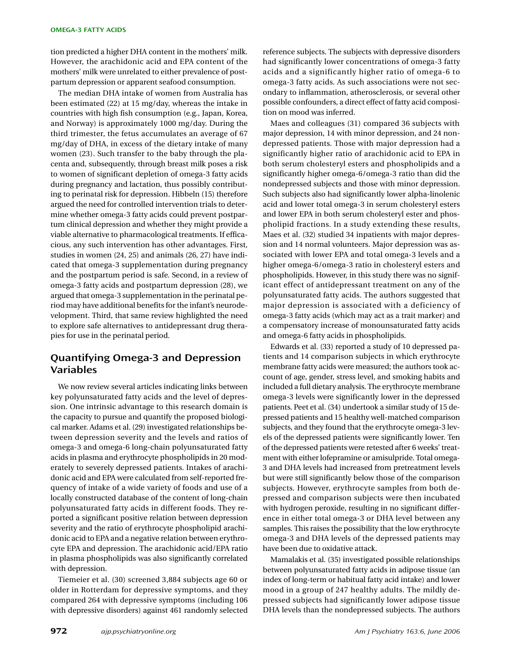tion predicted a higher DHA content in the mothers' milk. However, the arachidonic acid and EPA content of the mothers' milk were unrelated to either prevalence of postpartum depression or apparent seafood consumption.

The median DHA intake of women from Australia has been estimated (22) at 15 mg/day, whereas the intake in countries with high fish consumption (e.g., Japan, Korea, and Norway) is approximately 1000 mg/day. During the third trimester, the fetus accumulates an average of 67 mg/day of DHA, in excess of the dietary intake of many women (23). Such transfer to the baby through the placenta and, subsequently, through breast milk poses a risk to women of significant depletion of omega-3 fatty acids during pregnancy and lactation, thus possibly contributing to perinatal risk for depression. Hibbeln (15) therefore argued the need for controlled intervention trials to determine whether omega-3 fatty acids could prevent postpartum clinical depression and whether they might provide a viable alternative to pharmacological treatments. If efficacious, any such intervention has other advantages. First, studies in women (24, 25) and animals (26, 27) have indicated that omega-3 supplementation during pregnancy and the postpartum period is safe. Second, in a review of omega-3 fatty acids and postpartum depression (28), we argued that omega-3 supplementation in the perinatal period may have additional benefits for the infant's neurodevelopment. Third, that same review highlighted the need to explore safe alternatives to antidepressant drug therapies for use in the perinatal period.

## **Quantifying Omega-3 and Depression Variables**

We now review several articles indicating links between key polyunsaturated fatty acids and the level of depression. One intrinsic advantage to this research domain is the capacity to pursue and quantify the proposed biological marker. Adams et al. (29) investigated relationships between depression severity and the levels and ratios of omega-3 and omega-6 long-chain polyunsaturated fatty acids in plasma and erythrocyte phospholipids in 20 moderately to severely depressed patients. Intakes of arachidonic acid and EPA were calculated from self-reported frequency of intake of a wide variety of foods and use of a locally constructed database of the content of long-chain polyunsaturated fatty acids in different foods. They reported a significant positive relation between depression severity and the ratio of erythrocyte phospholipid arachidonic acid to EPA and a negative relation between erythrocyte EPA and depression. The arachidonic acid/EPA ratio in plasma phospholipids was also significantly correlated with depression.

Tiemeier et al. (30) screened 3,884 subjects age 60 or older in Rotterdam for depressive symptoms, and they compared 264 with depressive symptoms (including 106 with depressive disorders) against 461 randomly selected

reference subjects. The subjects with depressive disorders had significantly lower concentrations of omega-3 fatty acids and a significantly higher ratio of omega-6 to omega-3 fatty acids. As such associations were not secondary to inflammation, atherosclerosis, or several other possible confounders, a direct effect of fatty acid composition on mood was inferred.

Maes and colleagues (31) compared 36 subjects with major depression, 14 with minor depression, and 24 nondepressed patients. Those with major depression had a significantly higher ratio of arachidonic acid to EPA in both serum cholesteryl esters and phospholipids and a significantly higher omega-6/omega-3 ratio than did the nondepressed subjects and those with minor depression. Such subjects also had significantly lower alpha-linolenic acid and lower total omega-3 in serum cholesteryl esters and lower EPA in both serum cholesteryl ester and phospholipid fractions. In a study extending these results, Maes et al. (32) studied 34 inpatients with major depression and 14 normal volunteers. Major depression was associated with lower EPA and total omega-3 levels and a higher omega-6/omega-3 ratio in cholesteryl esters and phospholipids. However, in this study there was no significant effect of antidepressant treatment on any of the polyunsaturated fatty acids. The authors suggested that major depression is associated with a deficiency of omega-3 fatty acids (which may act as a trait marker) and a compensatory increase of monounsaturated fatty acids and omega-6 fatty acids in phospholipids.

Edwards et al. (33) reported a study of 10 depressed patients and 14 comparison subjects in which erythrocyte membrane fatty acids were measured; the authors took account of age, gender, stress level, and smoking habits and included a full dietary analysis. The erythrocyte membrane omega-3 levels were significantly lower in the depressed patients. Peet et al. (34) undertook a similar study of 15 depressed patients and 15 healthy well-matched comparison subjects, and they found that the erythrocyte omega-3 levels of the depressed patients were significantly lower. Ten of the depressed patients were retested after 6 weeks' treatment with either lofepramine or amisulpride. Total omega-3 and DHA levels had increased from pretreatment levels but were still significantly below those of the comparison subjects. However, erythrocyte samples from both depressed and comparison subjects were then incubated with hydrogen peroxide, resulting in no significant difference in either total omega-3 or DHA level between any samples. This raises the possibility that the low erythrocyte omega-3 and DHA levels of the depressed patients may have been due to oxidative attack.

Mamalakis et al. (35) investigated possible relationships between polyunsaturated fatty acids in adipose tissue (an index of long-term or habitual fatty acid intake) and lower mood in a group of 247 healthy adults. The mildly depressed subjects had significantly lower adipose tissue DHA levels than the nondepressed subjects. The authors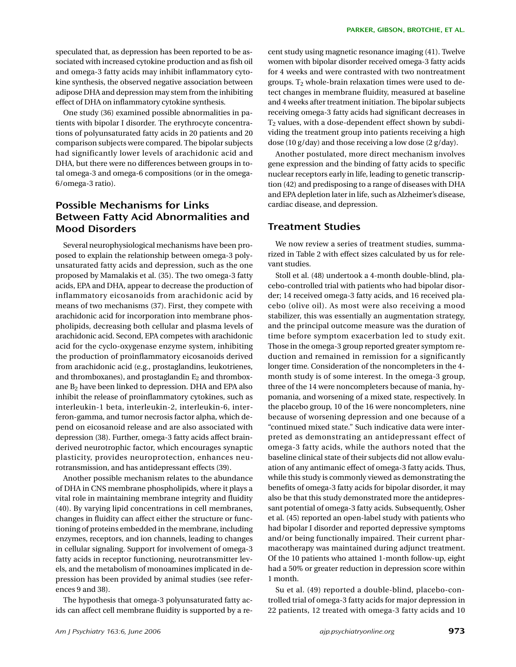speculated that, as depression has been reported to be associated with increased cytokine production and as fish oil and omega-3 fatty acids may inhibit inflammatory cytokine synthesis, the observed negative association between adipose DHA and depression may stem from the inhibiting effect of DHA on inflammatory cytokine synthesis.

One study (36) examined possible abnormalities in patients with bipolar I disorder. The erythrocyte concentrations of polyunsaturated fatty acids in 20 patients and 20 comparison subjects were compared. The bipolar subjects had significantly lower levels of arachidonic acid and DHA, but there were no differences between groups in total omega-3 and omega-6 compositions (or in the omega-6/omega-3 ratio).

# **Possible Mechanisms for Links Between Fatty Acid Abnormalities and Mood Disorders**

Several neurophysiological mechanisms have been proposed to explain the relationship between omega-3 polyunsaturated fatty acids and depression, such as the one proposed by Mamalakis et al. (35). The two omega-3 fatty acids, EPA and DHA, appear to decrease the production of inflammatory eicosanoids from arachidonic acid by means of two mechanisms (37). First, they compete with arachidonic acid for incorporation into membrane phospholipids, decreasing both cellular and plasma levels of arachidonic acid. Second, EPA competes with arachidonic acid for the cyclo-oxygenase enzyme system, inhibiting the production of proinflammatory eicosanoids derived from arachidonic acid (e.g., prostaglandins, leukotrienes, and thromboxanes), and prostaglandin  $E_2$  and thromboxane B2 have been linked to depression. DHA and EPA also inhibit the release of proinflammatory cytokines, such as interleukin-1 beta, interleukin-2, interleukin-6, interferon-gamma, and tumor necrosis factor alpha, which depend on eicosanoid release and are also associated with depression (38). Further, omega-3 fatty acids affect brainderived neurotrophic factor, which encourages synaptic plasticity, provides neuroprotection, enhances neurotransmission, and has antidepressant effects (39).

Another possible mechanism relates to the abundance of DHA in CNS membrane phospholipids, where it plays a vital role in maintaining membrane integrity and fluidity (40). By varying lipid concentrations in cell membranes, changes in fluidity can affect either the structure or functioning of proteins embedded in the membrane, including enzymes, receptors, and ion channels, leading to changes in cellular signaling. Support for involvement of omega-3 fatty acids in receptor functioning, neurotransmitter levels, and the metabolism of monoamines implicated in depression has been provided by animal studies (see references 9 and 38).

The hypothesis that omega-3 polyunsaturated fatty acids can affect cell membrane fluidity is supported by a recent study using magnetic resonance imaging (41). Twelve women with bipolar disorder received omega-3 fatty acids for 4 weeks and were contrasted with two nontreatment groups.  $T_2$  whole-brain relaxation times were used to detect changes in membrane fluidity, measured at baseline and 4 weeks after treatment initiation. The bipolar subjects receiving omega-3 fatty acids had significant decreases in  $T<sub>2</sub>$  values, with a dose-dependent effect shown by subdividing the treatment group into patients receiving a high dose (10 g/day) and those receiving a low dose (2 g/day).

Another postulated, more direct mechanism involves gene expression and the binding of fatty acids to specific nuclear receptors early in life, leading to genetic transcription (42) and predisposing to a range of diseases with DHA and EPA depletion later in life, such as Alzheimer's disease, cardiac disease, and depression.

## **Treatment Studies**

We now review a series of treatment studies, summarized in Table 2 with effect sizes calculated by us for relevant studies.

Stoll et al. (48) undertook a 4-month double-blind, placebo-controlled trial with patients who had bipolar disorder; 14 received omega-3 fatty acids, and 16 received placebo (olive oil). As most were also receiving a mood stabilizer, this was essentially an augmentation strategy, and the principal outcome measure was the duration of time before symptom exacerbation led to study exit. Those in the omega-3 group reported greater symptom reduction and remained in remission for a significantly longer time. Consideration of the noncompleters in the 4 month study is of some interest. In the omega-3 group, three of the 14 were noncompleters because of mania, hypomania, and worsening of a mixed state, respectively. In the placebo group, 10 of the 16 were noncompleters, nine because of worsening depression and one because of a "continued mixed state." Such indicative data were interpreted as demonstrating an antidepressant effect of omega-3 fatty acids, while the authors noted that the baseline clinical state of their subjects did not allow evaluation of any antimanic effect of omega-3 fatty acids. Thus, while this study is commonly viewed as demonstrating the benefits of omega-3 fatty acids for bipolar disorder, it may also be that this study demonstrated more the antidepressant potential of omega-3 fatty acids. Subsequently, Osher et al. (45) reported an open-label study with patients who had bipolar I disorder and reported depressive symptoms and/or being functionally impaired. Their current pharmacotherapy was maintained during adjunct treatment. Of the 10 patients who attained 1-month follow-up, eight had a 50% or greater reduction in depression score within 1 month.

Su et al. (49) reported a double-blind, placebo-controlled trial of omega-3 fatty acids for major depression in 22 patients, 12 treated with omega-3 fatty acids and 10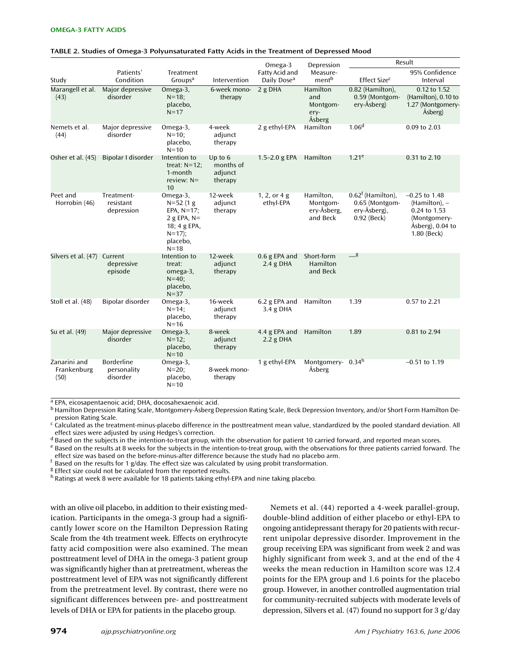|                                     |                                              |                                                                                                                 | Intervention                                 | Omega-3                                   | Depression                                       | Result                                                                        |                                                                                                        |
|-------------------------------------|----------------------------------------------|-----------------------------------------------------------------------------------------------------------------|----------------------------------------------|-------------------------------------------|--------------------------------------------------|-------------------------------------------------------------------------------|--------------------------------------------------------------------------------------------------------|
| Study                               | Patients'<br>Condition                       | Treatment<br>Groups <sup>a</sup>                                                                                |                                              | Fatty Acid and<br>Daily Dose <sup>a</sup> | Measure-<br>ment <sup>b</sup>                    | Effect Size <sup>c</sup>                                                      | 95% Confidence<br>Interval                                                                             |
| Marangell et al.<br>(43)            | Major depressive<br>disorder                 | Omega-3,<br>$N = 18$ ;<br>placebo,<br>$N = 17$                                                                  | 6-week mono-<br>therapy                      | 2 g DHA                                   | Hamilton<br>and<br>Montgom-<br>ery-<br>Åsberg    | 0.82 (Hamilton),<br>0.59 (Montgom-<br>ery-Åsberg)                             | 0.12 to 1.52<br>(Hamilton), 0.10 to<br>1.27 (Montgomery-<br>Åsberg)                                    |
| Nemets et al.<br>(44)               | Major depressive<br>disorder                 | Omega-3,<br>$N = 10$ ;<br>placebo,<br>$N=10$                                                                    | 4-week<br>adjunct<br>therapy                 | 2 g ethyl-EPA                             | Hamilton                                         | 1.06 <sup>d</sup>                                                             | 0.09 to 2.03                                                                                           |
| Osher et al. (45)                   | Bipolar I disorder                           | Intention to<br>treat: $N=12$ ;<br>1-month<br>review: $N=$<br>10                                                | Up to $6$<br>months of<br>adjunct<br>therapy | 1.5 $-2.0$ g EPA                          | Hamilton                                         | 1.21 <sup>e</sup>                                                             | 0.31 to 2.10                                                                                           |
| Peet and<br>Horrobin (46)           | Treatment-<br>resistant<br>depression        | Omega-3,<br>$N = 52(1)$<br>EPA, $N=17$ ;<br>2 g EPA, $N=$<br>18; 4 g EPA,<br>$N = 17$ :<br>placebo,<br>$N = 18$ | 12-week<br>adjunct<br>therapy                | 1, 2, or $4g$<br>ethyl-EPA                | Hamilton,<br>Montgom-<br>ery-Åsberg,<br>and Beck | $0.62^{\dagger}$ (Hamilton),<br>0.65 (Montgom-<br>ery-Åsberg),<br>0.92 (Beck) | $-0.25$ to 1.48<br>$(Hamilton)$ , -<br>0.24 to 1.53<br>(Montgomery-<br>Åsberg), 0.04 to<br>1.80 (Beck) |
| Silvers et al. (47) Current         | depressive<br>episode                        | Intention to<br>treat:<br>omega-3,<br>$N = 40$ ;<br>placebo,<br>$N = 37$                                        | 12-week<br>adjunct<br>therapy                | $0.6$ g EPA and<br>$2.4$ g DHA            | Short-form<br>Hamilton<br>and Beck               | $\_\$ {g}                                                                     |                                                                                                        |
| Stoll et al. (48)                   | Bipolar disorder                             | Omega-3,<br>$N = 14;$<br>placebo,<br>$N = 16$                                                                   | 16-week<br>adjunct<br>therapy                | 6.2 g EPA and<br>3.4 g DHA                | Hamilton                                         | 1.39                                                                          | 0.57 to 2.21                                                                                           |
| Su et al. (49)                      | Major depressive<br>disorder                 | Omega-3,<br>$N = 12$ ;<br>placebo,<br>$N=10$                                                                    | 8-week<br>adjunct<br>therapy                 | 4.4 g EPA and<br>$2.2$ g DHA              | Hamilton                                         | 1.89                                                                          | 0.81 to 2.94                                                                                           |
| Zanarini and<br>Frankenburg<br>(50) | <b>Borderline</b><br>personality<br>disorder | Omega-3,<br>$N = 20$ ;<br>placebo,<br>$N=10$                                                                    | 8-week mono-<br>therapy                      | 1 g ethyl-EPA                             | Montgomery- 0.34h<br>Åsberg                      |                                                                               | $-0.51$ to 1.19                                                                                        |

#### **TABLE 2. Studies of Omega-3 Polyunsaturated Fatty Acids in the Treatment of Depressed Mood**

a EPA, eicosapentaenoic acid; DHA, docosahexaenoic acid.

<sup>b</sup> Hamilton Depression Rating Scale, Montgomery-Åsberg Depression Rating Scale, Beck Depression Inventory, and/or Short Form Hamilton Depression Rating Scale.

<sup>c</sup> Calculated as the treatment-minus-placebo difference in the posttreatment mean value, standardized by the pooled standard deviation. All

effect sizes were adjusted by using Hedges's correction.<br><sup>d</sup> Based on the subjects in the intention-to-treat group, with the observation for patient 10 carried forward, and reported mean scores.

e Based on the results at 8 weeks for the subjects in the intention-to-treat group, with the observations for three patients carried forward. The effect size was based on the before-minus-after difference because the study had no placebo arm.

 $f$  Based on the results for 1 g/day. The effect size was calculated by using probit transformation.

<sup>g</sup> Effect size could not be calculated from the reported results.

<sup>h</sup> Ratings at week 8 were available for 18 patients taking ethyl-EPA and nine taking placebo.

with an olive oil placebo, in addition to their existing medication. Participants in the omega-3 group had a significantly lower score on the Hamilton Depression Rating Scale from the 4th treatment week. Effects on erythrocyte fatty acid composition were also examined. The mean posttreatment level of DHA in the omega-3 patient group was significantly higher than at pretreatment, whereas the posttreatment level of EPA was not significantly different from the pretreatment level. By contrast, there were no significant differences between pre- and posttreatment levels of DHA or EPA for patients in the placebo group.

Nemets et al. (44) reported a 4-week parallel-group, double-blind addition of either placebo or ethyl-EPA to ongoing antidepressant therapy for 20 patients with recurrent unipolar depressive disorder. Improvement in the group receiving EPA was significant from week 2 and was highly significant from week 3, and at the end of the 4 weeks the mean reduction in Hamilton score was 12.4 points for the EPA group and 1.6 points for the placebo group. However, in another controlled augmentation trial for community-recruited subjects with moderate levels of depression, Silvers et al. (47) found no support for 3 g/day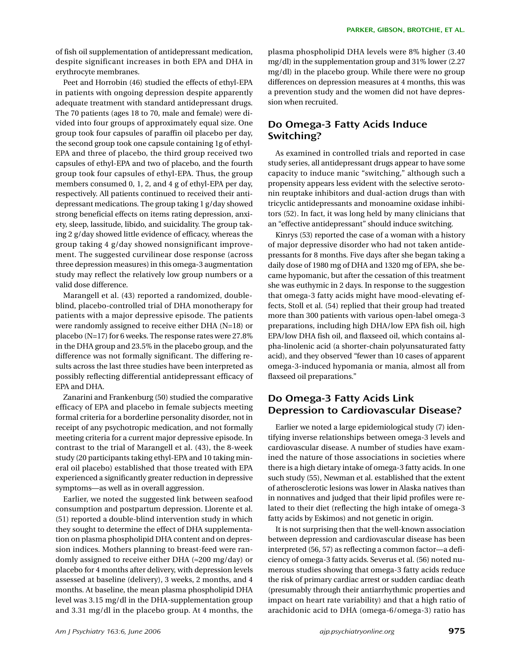of fish oil supplementation of antidepressant medication, despite significant increases in both EPA and DHA in erythrocyte membranes.

Peet and Horrobin (46) studied the effects of ethyl-EPA in patients with ongoing depression despite apparently adequate treatment with standard antidepressant drugs. The 70 patients (ages 18 to 70, male and female) were divided into four groups of approximately equal size. One group took four capsules of paraffin oil placebo per day, the second group took one capsule containing 1g of ethyl-EPA and three of placebo, the third group received two capsules of ethyl-EPA and two of placebo, and the fourth group took four capsules of ethyl-EPA. Thus, the group members consumed 0, 1, 2, and 4 g of ethyl-EPA per day, respectively. All patients continued to received their antidepressant medications. The group taking 1 g/day showed strong beneficial effects on items rating depression, anxiety, sleep, lassitude, libido, and suicidality. The group taking 2 g/day showed little evidence of efficacy, whereas the group taking 4 g/day showed nonsignificant improvement. The suggested curvilinear dose response (across three depression measures) in this omega-3 augmentation study may reflect the relatively low group numbers or a valid dose difference.

Marangell et al. (43) reported a randomized, doubleblind, placebo-controlled trial of DHA monotherapy for patients with a major depressive episode. The patients were randomly assigned to receive either DHA (N=18) or placebo (N=17) for 6 weeks. The response rates were 27.8% in the DHA group and 23.5% in the placebo group, and the difference was not formally significant. The differing results across the last three studies have been interpreted as possibly reflecting differential antidepressant efficacy of EPA and DHA.

Zanarini and Frankenburg (50) studied the comparative efficacy of EPA and placebo in female subjects meeting formal criteria for a borderline personality disorder, not in receipt of any psychotropic medication, and not formally meeting criteria for a current major depressive episode. In contrast to the trial of Marangell et al. (43), the 8-week study (20 participants taking ethyl-EPA and 10 taking mineral oil placebo) established that those treated with EPA experienced a significantly greater reduction in depressive symptoms—as well as in overall aggression.

Earlier, we noted the suggested link between seafood consumption and postpartum depression. Llorente et al. (51) reported a double-blind intervention study in which they sought to determine the effect of DHA supplementation on plasma phospholipid DHA content and on depression indices. Mothers planning to breast-feed were randomly assigned to receive either DHA (≈200 mg/day) or placebo for 4 months after delivery, with depression levels assessed at baseline (delivery), 3 weeks, 2 months, and 4 months. At baseline, the mean plasma phospholipid DHA level was 3.15 mg/dl in the DHA-supplementation group and 3.31 mg/dl in the placebo group. At 4 months, the plasma phospholipid DHA levels were 8% higher (3.40 mg/dl) in the supplementation group and 31% lower (2.27 mg/dl) in the placebo group. While there were no group differences on depression measures at 4 months, this was a prevention study and the women did not have depression when recruited.

# **Do Omega-3 Fatty Acids Induce Switching?**

As examined in controlled trials and reported in case study series, all antidepressant drugs appear to have some capacity to induce manic "switching," although such a propensity appears less evident with the selective serotonin reuptake inhibitors and dual-action drugs than with tricyclic antidepressants and monoamine oxidase inhibitors (52). In fact, it was long held by many clinicians that an "effective antidepressant" should induce switching.

Kinrys (53) reported the case of a woman with a history of major depressive disorder who had not taken antidepressants for 8 months. Five days after she began taking a daily dose of 1980 mg of DHA and 1320 mg of EPA, she became hypomanic, but after the cessation of this treatment she was euthymic in 2 days. In response to the suggestion that omega-3 fatty acids might have mood-elevating effects, Stoll et al. (54) replied that their group had treated more than 300 patients with various open-label omega-3 preparations, including high DHA/low EPA fish oil, high EPA/low DHA fish oil, and flaxseed oil, which contains alpha-linolenic acid (a shorter-chain polyunsaturated fatty acid), and they observed "fewer than 10 cases of apparent omega-3-induced hypomania or mania, almost all from flaxseed oil preparations."

## **Do Omega-3 Fatty Acids Link Depression to Cardiovascular Disease?**

Earlier we noted a large epidemiological study (7) identifying inverse relationships between omega-3 levels and cardiovascular disease. A number of studies have examined the nature of those associations in societies where there is a high dietary intake of omega-3 fatty acids. In one such study (55), Newman et al. established that the extent of atherosclerotic lesions was lower in Alaska natives than in nonnatives and judged that their lipid profiles were related to their diet (reflecting the high intake of omega-3 fatty acids by Eskimos) and not genetic in origin.

It is not surprising then that the well-known association between depression and cardiovascular disease has been interpreted (56, 57) as reflecting a common factor—a deficiency of omega-3 fatty acids. Severus et al. (56) noted numerous studies showing that omega-3 fatty acids reduce the risk of primary cardiac arrest or sudden cardiac death (presumably through their antiarrhythmic properties and impact on heart rate variability) and that a high ratio of arachidonic acid to DHA (omega-6/omega-3) ratio has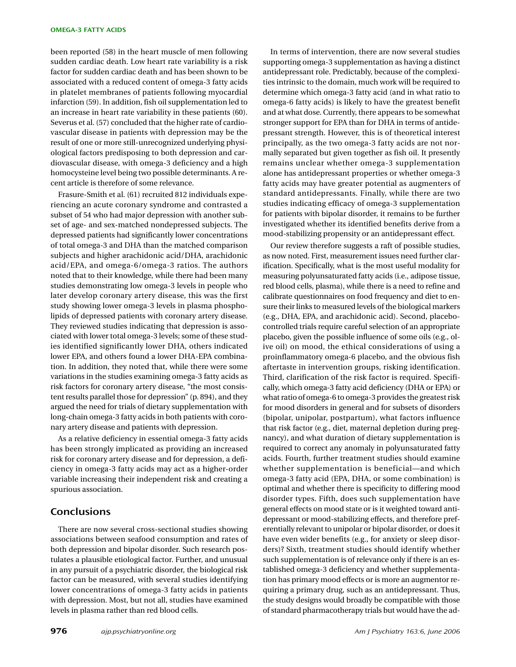#### **OMEGA-3 FATTY ACIDS**

been reported (58) in the heart muscle of men following sudden cardiac death. Low heart rate variability is a risk factor for sudden cardiac death and has been shown to be associated with a reduced content of omega-3 fatty acids in platelet membranes of patients following myocardial infarction (59). In addition, fish oil supplementation led to an increase in heart rate variability in these patients (60). Severus et al. (57) concluded that the higher rate of cardiovascular disease in patients with depression may be the result of one or more still-unrecognized underlying physiological factors predisposing to both depression and cardiovascular disease, with omega-3 deficiency and a high homocysteine level being two possible determinants. A recent article is therefore of some relevance.

Frasure-Smith et al. (61) recruited 812 individuals experiencing an acute coronary syndrome and contrasted a subset of 54 who had major depression with another subset of age- and sex-matched nondepressed subjects. The depressed patients had significantly lower concentrations of total omega-3 and DHA than the matched comparison subjects and higher arachidonic acid/DHA, arachidonic acid/EPA, and omega-6/omega-3 ratios. The authors noted that to their knowledge, while there had been many studies demonstrating low omega-3 levels in people who later develop coronary artery disease, this was the first study showing lower omega-3 levels in plasma phospholipids of depressed patients with coronary artery disease. They reviewed studies indicating that depression is associated with lower total omega-3 levels; some of these studies identified significantly lower DHA, others indicated lower EPA, and others found a lower DHA-EPA combination. In addition, they noted that, while there were some variations in the studies examining omega-3 fatty acids as risk factors for coronary artery disease, "the most consistent results parallel those for depression" (p. 894), and they argued the need for trials of dietary supplementation with long-chain omega-3 fatty acids in both patients with coronary artery disease and patients with depression.

As a relative deficiency in essential omega-3 fatty acids has been strongly implicated as providing an increased risk for coronary artery disease and for depression, a deficiency in omega-3 fatty acids may act as a higher-order variable increasing their independent risk and creating a spurious association.

### **Conclusions**

There are now several cross-sectional studies showing associations between seafood consumption and rates of both depression and bipolar disorder. Such research postulates a plausible etiological factor. Further, and unusual in any pursuit of a psychiatric disorder, the biological risk factor can be measured, with several studies identifying lower concentrations of omega-3 fatty acids in patients with depression. Most, but not all, studies have examined levels in plasma rather than red blood cells.

In terms of intervention, there are now several studies supporting omega-3 supplementation as having a distinct antidepressant role. Predictably, because of the complexities intrinsic to the domain, much work will be required to determine which omega-3 fatty acid (and in what ratio to omega-6 fatty acids) is likely to have the greatest benefit and at what dose. Currently, there appears to be somewhat stronger support for EPA than for DHA in terms of antidepressant strength. However, this is of theoretical interest principally, as the two omega-3 fatty acids are not normally separated but given together as fish oil. It presently remains unclear whether omega-3 supplementation alone has antidepressant properties or whether omega-3 fatty acids may have greater potential as augmenters of standard antidepressants. Finally, while there are two studies indicating efficacy of omega-3 supplementation for patients with bipolar disorder, it remains to be further investigated whether its identified benefits derive from a mood-stabilizing propensity or an antidepressant effect.

Our review therefore suggests a raft of possible studies, as now noted. First, measurement issues need further clarification. Specifically, what is the most useful modality for measuring polyunsaturated fatty acids (i.e., adipose tissue, red blood cells, plasma), while there is a need to refine and calibrate questionnaires on food frequency and diet to ensure their links to measured levels of the biological markers (e.g., DHA, EPA, and arachidonic acid). Second, placebocontrolled trials require careful selection of an appropriate placebo, given the possible influence of some oils (e.g., olive oil) on mood, the ethical considerations of using a proinflammatory omega-6 placebo, and the obvious fish aftertaste in intervention groups, risking identification. Third, clarification of the risk factor is required. Specifically, which omega-3 fatty acid deficiency (DHA or EPA) or what ratio of omega-6 to omega-3 provides the greatest risk for mood disorders in general and for subsets of disorders (bipolar, unipolar, postpartum), what factors influence that risk factor (e.g., diet, maternal depletion during pregnancy), and what duration of dietary supplementation is required to correct any anomaly in polyunsaturated fatty acids. Fourth, further treatment studies should examine whether supplementation is beneficial—and which omega-3 fatty acid (EPA, DHA, or some combination) is optimal and whether there is specificity to differing mood disorder types. Fifth, does such supplementation have general effects on mood state or is it weighted toward antidepressant or mood-stabilizing effects, and therefore preferentially relevant to unipolar or bipolar disorder, or does it have even wider benefits (e.g., for anxiety or sleep disorders)? Sixth, treatment studies should identify whether such supplementation is of relevance only if there is an established omega-3 deficiency and whether supplementation has primary mood effects or is more an augmentor requiring a primary drug, such as an antidepressant. Thus, the study designs would broadly be compatible with those of standard pharmacotherapy trials but would have the ad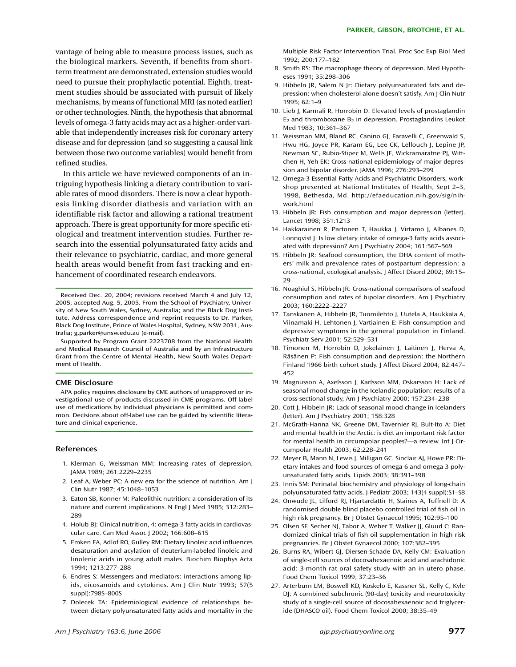vantage of being able to measure process issues, such as the biological markers. Seventh, if benefits from shortterm treatment are demonstrated, extension studies would need to pursue their prophylactic potential. Eighth, treatment studies should be associated with pursuit of likely mechanisms, by means of functional MRI (as noted earlier) or other technologies. Ninth, the hypothesis that abnormal levels of omega-3 fatty acids may act as a higher-order variable that independently increases risk for coronary artery disease and for depression (and so suggesting a causal link between those two outcome variables) would benefit from refined studies.

In this article we have reviewed components of an intriguing hypothesis linking a dietary contribution to variable rates of mood disorders. There is now a clear hypothesis linking disorder diathesis and variation with an identifiable risk factor and allowing a rational treatment approach. There is great opportunity for more specific etiological and treatment intervention studies. Further research into the essential polyunsaturated fatty acids and their relevance to psychiatric, cardiac, and more general health areas would benefit from fast tracking and enhancement of coordinated research endeavors.

Received Dec. 20, 2004; revisions received March 4 and July 12, 2005; accepted Aug. 5, 2005. From the School of Psychiatry, University of New South Wales, Sydney, Australia; and the Black Dog Institute. Address correspondence and reprint requests to Dr. Parker, Black Dog Institute, Prince of Wales Hospital, Sydney, NSW 2031, Australia; g.parker@unsw.edu.au (e-mail).

Supported by Program Grant 2223708 from the National Health and Medical Research Council of Australia and by an Infrastructure Grant from the Centre of Mental Health, New South Wales Department of Health.

#### **CME Disclosure**

APA policy requires disclosure by CME authors of unapproved or investigational use of products discussed in CME programs. Off-label use of medications by individual physicians is permitted and common. Decisions about off-label use can be guided by scientific literature and clinical experience.

#### **References**

- 1. Klerman G, Weissman MM: Increasing rates of depression. JAMA 1989; 261:2229–2235
- 2. Leaf A, Weber PC: A new era for the science of nutrition. Am J Clin Nutr 1987; 45:1048–1053
- 3. Eaton SB, Konner M: Paleolithic nutrition: a consideration of its nature and current implications. N Engl | Med 1985; 312:283-289
- 4. Holub BJ: Clinical nutrition, 4: omega-3 fatty acids in cardiovascular care. Can Med Assoc J 2002; 166:608–615
- 5. Emken EA, Adlof RO, Gulley RM: Dietary linoleic acid influences desaturation and acylation of deuterium-labeled linoleic and linolenic acids in young adult males. Biochim Biophys Acta 1994; 1213:277–288
- 6. Endres S: Messengers and mediators: interactions among lipids, eicosanoids and cytokines. Am J Clin Nutr 1993; 57(5 suppl):798S–800S
- 7. Dolecek TA: Epidemiological evidence of relationships between dietary polyunsaturated fatty acids and mortality in the
- 8. Smith RS: The macrophage theory of depression. Med Hypotheses 1991; 35:298–306
- 9. Hibbeln JR, Salem N Jr: Dietary polyunsaturated fats and depression: when cholesterol alone doesn't satisfy. Am J Clin Nutr 1995; 62:1–9
- 10. Lieb J, Karmali R, Horrobin D: Elevated levels of prostaglandin  $E_2$  and thromboxane  $B_2$  in depression. Prostaglandins Leukot Med 1983; 10:361–367
- 11. Weissman MM, Bland RC, Canino GJ, Faravelli C, Greenwald S, Hwu HG, Joyce PR, Karam EG, Lee CK, Lellouch J, Lepine JP, Newman SC, Rubio-Stipec M, Wells JE, Wickramaratne PJ, Wittchen H, Yeh EK: Cross-national epidemiology of major depression and bipolar disorder. JAMA 1996; 276:293–299
- 12. Omega-3 Essential Fatty Acids and Psychiatric Disorders, workshop presented at National Institutes of Health, Sept 2–3, 1998, Bethesda, Md. http://efaeducation.nih.gov/sig/nihwork.html
- 13. Hibbeln JR: Fish consumption and major depression (letter). Lancet 1998; 351:1213
- 14. Hakkarainen R, Partonen T, Haukka J, Virtamo J, Albanes D, Lonnqvist J: Is low dietary intake of omega-3 fatty acids associated with depression? Am J Psychiatry 2004; 161:567–569
- 15. Hibbeln JR: Seafood consumption, the DHA content of mothers' milk and prevalence rates of postpartum depression: a cross-national, ecological analysis. J Affect Disord 2002; 69:15– 29
- 16. Noaghiul S, Hibbeln JR: Cross-national comparisons of seafood consumption and rates of bipolar disorders. Am J Psychiatry 2003; 160:2222–2227
- 17. Tanskanen A, Hibbeln JR, Tuomilehto J, Uutela A, Haukkala A, Viinamaki H, Lehtonen J, Vartiainen E: Fish consumption and depressive symptoms in the general population in Finland. Psychiatr Serv 2001; 52:529–531
- 18. Timonen M, Horrobin D, Jokelainen J, Laitinen J, Herva A, Räsänen P: Fish consumption and depression: the Northern Finland 1966 birth cohort study. J Affect Disord 2004; 82:447– 452
- 19. Magnusson A, Axelsson J, Karlsson MM, Oskarsson H: Lack of seasonal mood change in the Icelandic population: results of a cross-sectional study, Am J Psychiatry 2000; 157:234–238
- 20. Cott J, Hibbeln JR: Lack of seasonal mood change in Icelanders (letter). Am J Psychiatry 2001; 158:328
- 21. McGrath-Hanna NK, Greene DM, Tavernier RJ, Bult-Ito A: Diet and mental health in the Arctic: is diet an important risk factor for mental health in circumpolar peoples?—a review. Int J Circumpolar Health 2003; 62:228–241
- 22. Meyer B, Mann N, Lewis J, Milligan GC, Sinclair AJ, Howe PR: Dietary intakes and food sources of omega 6 and omega 3 polyunsaturated fatty acids. Lipids 2003; 38:391–398
- 23. Innis SM: Perinatal biochemistry and physiology of long-chain polyunsaturated fatty acids. J Pediatr 2003; 143(4 suppl):S1–S8
- 24. Onwude JL, Lilford RJ, Hjartardattir H, Staines A, Tuffnell D: A randomised double blind placebo controlled trial of fish oil in high risk pregnancy. Br J Obstet Gynaecol 1995; 102:95–100
- 25. Olsen SF, Secher NJ, Tabor A, Weber T, Walker JJ, Gluud C: Randomized clinical trials of fish oil supplementation in high risk pregnancies. Br J Obstet Gynaecol 2000; 107:382–395
- 26. Burns RA, Wibert GJ, Diersen-Schade DA, Kelly CM: Evaluation of single-cell sources of docosahexaenoic acid and arachidonic acid: 3-month rat oral safety study with an in utero phase. Food Chem Toxicol 1999; 37:23–36
- 27. Arterburn LM, Boswell KD, Koskelo E, Kassner SL, Kelly C, Kyle DJ: A combined subchronic (90-day) toxicity and neurotoxicity study of a single-cell source of docosahexaenoic acid triglyceride (DHASCO oil). Food Chem Toxicol 2000; 38:35–49